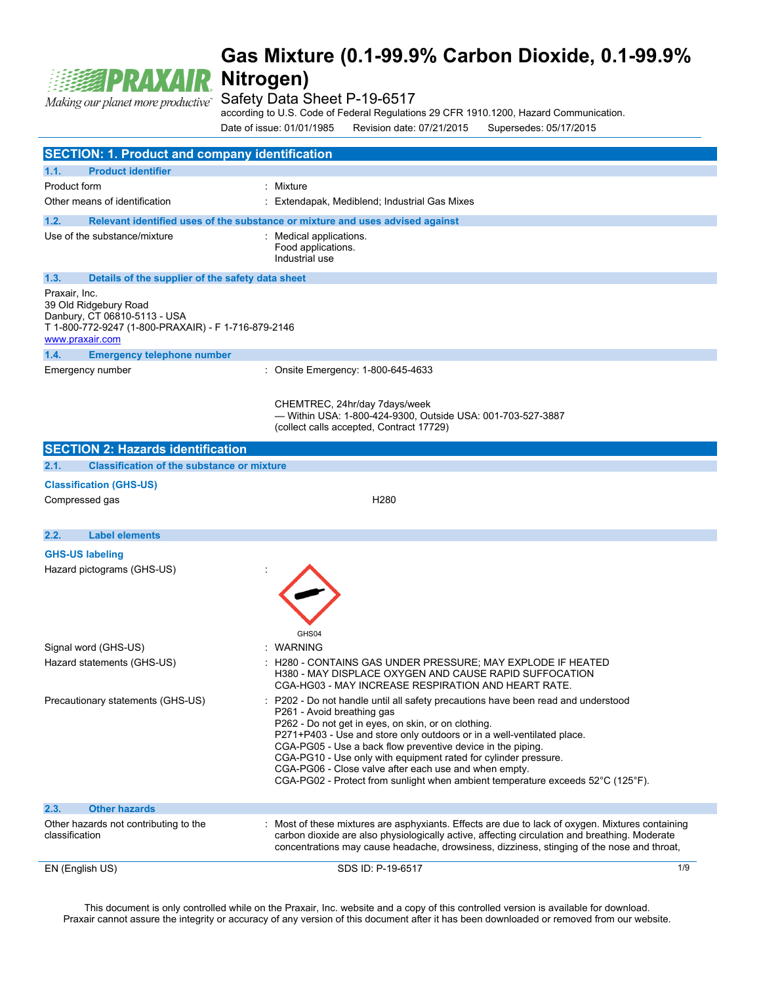

Safety Data Sheet P-19-6517

according to U.S. Code of Federal Regulations 29 CFR 1910.1200, Hazard Communication.

Date of issue: 01/01/1985 Revision date: 07/21/2015 Supersedes: 05/17/2015

| <b>SECTION: 1. Product and company identification</b>                                                                                            |                                                                                                                                                                                                                                                                                                                                                                                                                                                                                                                              |     |  |
|--------------------------------------------------------------------------------------------------------------------------------------------------|------------------------------------------------------------------------------------------------------------------------------------------------------------------------------------------------------------------------------------------------------------------------------------------------------------------------------------------------------------------------------------------------------------------------------------------------------------------------------------------------------------------------------|-----|--|
| 1.1.<br><b>Product identifier</b>                                                                                                                |                                                                                                                                                                                                                                                                                                                                                                                                                                                                                                                              |     |  |
| Product form                                                                                                                                     | : Mixture                                                                                                                                                                                                                                                                                                                                                                                                                                                                                                                    |     |  |
| Other means of identification                                                                                                                    | Extendapak, Mediblend; Industrial Gas Mixes                                                                                                                                                                                                                                                                                                                                                                                                                                                                                  |     |  |
| 1.2.<br>Relevant identified uses of the substance or mixture and uses advised against                                                            |                                                                                                                                                                                                                                                                                                                                                                                                                                                                                                                              |     |  |
| Use of the substance/mixture                                                                                                                     | Medical applications.<br>Food applications.<br>Industrial use                                                                                                                                                                                                                                                                                                                                                                                                                                                                |     |  |
| 1.3.                                                                                                                                             | Details of the supplier of the safety data sheet                                                                                                                                                                                                                                                                                                                                                                                                                                                                             |     |  |
| Praxair, Inc.<br>39 Old Ridgebury Road<br>Danbury, CT 06810-5113 - USA<br>T 1-800-772-9247 (1-800-PRAXAIR) - F 1-716-879-2146<br>www.praxair.com |                                                                                                                                                                                                                                                                                                                                                                                                                                                                                                                              |     |  |
| 1.4.<br><b>Emergency telephone number</b>                                                                                                        |                                                                                                                                                                                                                                                                                                                                                                                                                                                                                                                              |     |  |
| Emergency number                                                                                                                                 | : Onsite Emergency: 1-800-645-4633                                                                                                                                                                                                                                                                                                                                                                                                                                                                                           |     |  |
|                                                                                                                                                  | CHEMTREC, 24hr/day 7days/week<br>- Within USA: 1-800-424-9300, Outside USA: 001-703-527-3887<br>(collect calls accepted, Contract 17729)                                                                                                                                                                                                                                                                                                                                                                                     |     |  |
| <b>SECTION 2: Hazards identification</b>                                                                                                         |                                                                                                                                                                                                                                                                                                                                                                                                                                                                                                                              |     |  |
| <b>Classification of the substance or mixture</b><br>2.1.                                                                                        |                                                                                                                                                                                                                                                                                                                                                                                                                                                                                                                              |     |  |
| <b>Classification (GHS-US)</b>                                                                                                                   |                                                                                                                                                                                                                                                                                                                                                                                                                                                                                                                              |     |  |
| Compressed gas                                                                                                                                   | H <sub>280</sub>                                                                                                                                                                                                                                                                                                                                                                                                                                                                                                             |     |  |
|                                                                                                                                                  |                                                                                                                                                                                                                                                                                                                                                                                                                                                                                                                              |     |  |
| <b>Label elements</b><br>2.2.                                                                                                                    |                                                                                                                                                                                                                                                                                                                                                                                                                                                                                                                              |     |  |
| <b>GHS-US labeling</b><br>Hazard pictograms (GHS-US)                                                                                             | GHS04                                                                                                                                                                                                                                                                                                                                                                                                                                                                                                                        |     |  |
| Signal word (GHS-US)                                                                                                                             | <b>WARNING</b>                                                                                                                                                                                                                                                                                                                                                                                                                                                                                                               |     |  |
| Hazard statements (GHS-US)                                                                                                                       | H280 - CONTAINS GAS UNDER PRESSURE; MAY EXPLODE IF HEATED<br>H380 - MAY DISPLACE OXYGEN AND CAUSE RAPID SUFFOCATION<br>CGA-HG03 - MAY INCREASE RESPIRATION AND HEART RATE.                                                                                                                                                                                                                                                                                                                                                   |     |  |
| Precautionary statements (GHS-US)                                                                                                                | P202 - Do not handle until all safety precautions have been read and understood<br>P261 - Avoid breathing gas<br>P262 - Do not get in eyes, on skin, or on clothing.<br>P271+P403 - Use and store only outdoors or in a well-ventilated place.<br>CGA-PG05 - Use a back flow preventive device in the piping.<br>CGA-PG10 - Use only with equipment rated for cylinder pressure.<br>CGA-PG06 - Close valve after each use and when empty.<br>CGA-PG02 - Protect from sunlight when ambient temperature exceeds 52°C (125°F). |     |  |
| <b>Other hazards</b><br>2.3.                                                                                                                     |                                                                                                                                                                                                                                                                                                                                                                                                                                                                                                                              |     |  |
| Other hazards not contributing to the<br>classification                                                                                          | Most of these mixtures are asphyxiants. Effects are due to lack of oxygen. Mixtures containing<br>carbon dioxide are also physiologically active, affecting circulation and breathing. Moderate<br>concentrations may cause headache, drowsiness, dizziness, stinging of the nose and throat,                                                                                                                                                                                                                                |     |  |
| EN (English US)                                                                                                                                  | SDS ID: P-19-6517                                                                                                                                                                                                                                                                                                                                                                                                                                                                                                            | 1/9 |  |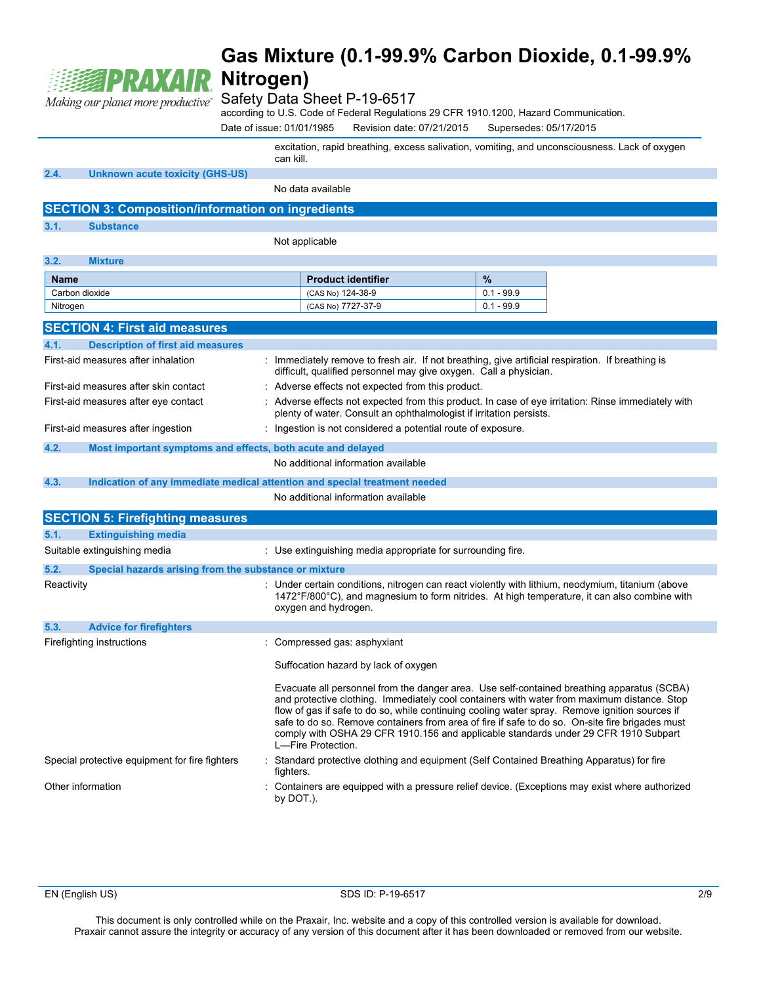

### Safety Data Sheet P-19-6517

according to U.S. Code of Federal Regulations 29 CFR 1910.1200, Hazard Communication.

Date of issue: 01/01/1985 Revision date: 07/21/2015 Supersedes: 05/17/2015

excitation, rapid breathing, excess salivation, vomiting, and unconsciousness. Lack of oxygen can kill.

**2.4. Unknown acute toxicity (GHS-US)**

No data available

### **SECTION 3: Composition/information on ingredients**

**3.1. Substance**

Not applicable

| <b>Product identifier</b> | $\frac{9}{6}$ |
|---------------------------|---------------|
| (CAS No) 124-38-9         | $0.1 - 99.9$  |
| (CAS No) 7727-37-9        | $0.1 - 99.9$  |
|                           |               |

|                                                                                                             | <b>SECTION 4: First aid measures</b>                  |                                                                                                                                                                                                                                                                                                                                                                                                                                                                                                             |
|-------------------------------------------------------------------------------------------------------------|-------------------------------------------------------|-------------------------------------------------------------------------------------------------------------------------------------------------------------------------------------------------------------------------------------------------------------------------------------------------------------------------------------------------------------------------------------------------------------------------------------------------------------------------------------------------------------|
| 4.1.                                                                                                        | <b>Description of first aid measures</b>              |                                                                                                                                                                                                                                                                                                                                                                                                                                                                                                             |
|                                                                                                             | First-aid measures after inhalation                   | : Immediately remove to fresh air. If not breathing, give artificial respiration. If breathing is<br>difficult, qualified personnel may give oxygen. Call a physician.                                                                                                                                                                                                                                                                                                                                      |
| First-aid measures after skin contact<br>: Adverse effects not expected from this product.                  |                                                       |                                                                                                                                                                                                                                                                                                                                                                                                                                                                                                             |
| First-aid measures after eye contact<br>plenty of water. Consult an ophthalmologist if irritation persists. |                                                       | : Adverse effects not expected from this product. In case of eye irritation: Rinse immediately with                                                                                                                                                                                                                                                                                                                                                                                                         |
|                                                                                                             | First-aid measures after ingestion                    | : Ingestion is not considered a potential route of exposure.                                                                                                                                                                                                                                                                                                                                                                                                                                                |
| 4.2.<br>Most important symptoms and effects, both acute and delayed                                         |                                                       |                                                                                                                                                                                                                                                                                                                                                                                                                                                                                                             |
|                                                                                                             |                                                       | No additional information available                                                                                                                                                                                                                                                                                                                                                                                                                                                                         |
| 4.3.                                                                                                        |                                                       | Indication of any immediate medical attention and special treatment needed                                                                                                                                                                                                                                                                                                                                                                                                                                  |
|                                                                                                             |                                                       | No additional information available                                                                                                                                                                                                                                                                                                                                                                                                                                                                         |
|                                                                                                             | <b>SECTION 5: Firefighting measures</b>               |                                                                                                                                                                                                                                                                                                                                                                                                                                                                                                             |
| 5.1.                                                                                                        | <b>Extinguishing media</b>                            |                                                                                                                                                                                                                                                                                                                                                                                                                                                                                                             |
|                                                                                                             | Suitable extinguishing media                          | : Use extinguishing media appropriate for surrounding fire.                                                                                                                                                                                                                                                                                                                                                                                                                                                 |
| 5.2.                                                                                                        | Special hazards arising from the substance or mixture |                                                                                                                                                                                                                                                                                                                                                                                                                                                                                                             |
| Reactivity                                                                                                  |                                                       | : Under certain conditions, nitrogen can react violently with lithium, neodymium, titanium (above<br>1472°F/800°C), and magnesium to form nitrides. At high temperature, it can also combine with<br>oxygen and hydrogen.                                                                                                                                                                                                                                                                                   |
| 5.3.                                                                                                        | <b>Advice for firefighters</b>                        |                                                                                                                                                                                                                                                                                                                                                                                                                                                                                                             |
|                                                                                                             | Firefighting instructions                             | : Compressed gas: asphyxiant                                                                                                                                                                                                                                                                                                                                                                                                                                                                                |
|                                                                                                             |                                                       | Suffocation hazard by lack of oxygen                                                                                                                                                                                                                                                                                                                                                                                                                                                                        |
|                                                                                                             |                                                       | Evacuate all personnel from the danger area. Use self-contained breathing apparatus (SCBA)<br>and protective clothing. Immediately cool containers with water from maximum distance. Stop<br>flow of gas if safe to do so, while continuing cooling water spray. Remove ignition sources if<br>safe to do so. Remove containers from area of fire if safe to do so. On-site fire brigades must<br>comply with OSHA 29 CFR 1910.156 and applicable standards under 29 CFR 1910 Subpart<br>L-Fire Protection. |
|                                                                                                             | Special protective equipment for fire fighters        | : Standard protective clothing and equipment (Self Contained Breathing Apparatus) for fire<br>fighters.                                                                                                                                                                                                                                                                                                                                                                                                     |
|                                                                                                             | Other information                                     | Containers are equipped with a pressure relief device. (Exceptions may exist where authorized<br>by DOT.).                                                                                                                                                                                                                                                                                                                                                                                                  |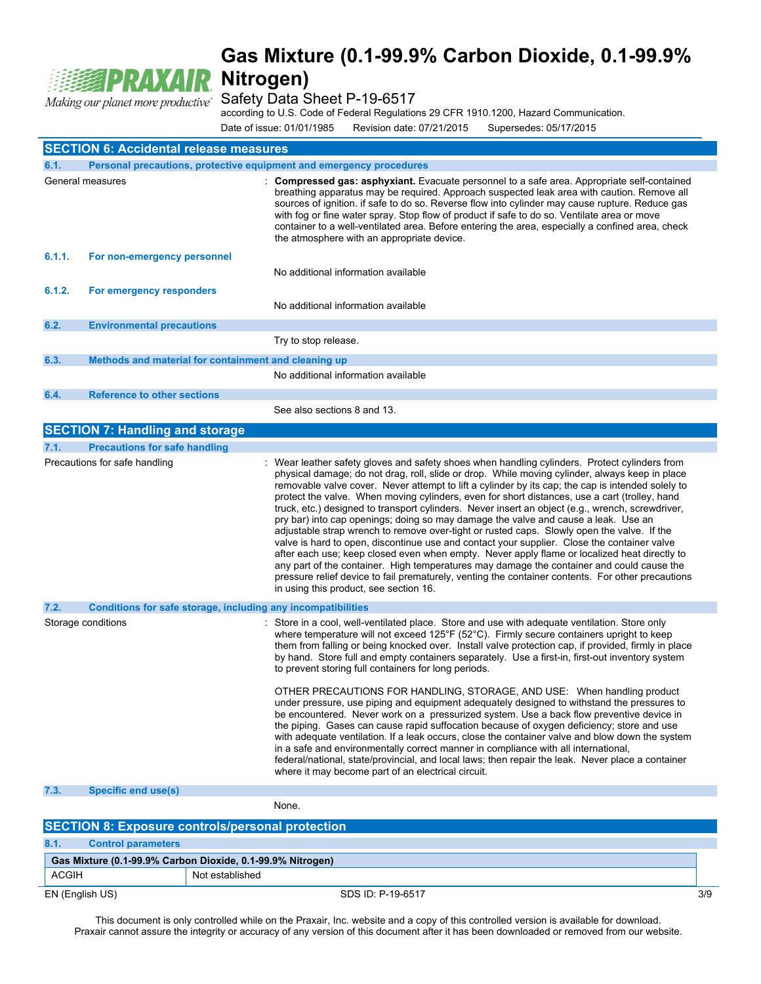

Safety Data Sheet P-19-6517

according to U.S. Code of Federal Regulations 29 CFR 1910.1200, Hazard Communication.

Date of issue: 01/01/1985 Revision date: 07/21/2015 Supersedes: 05/17/2015

| <b>SECTION 6: Accidental release measures</b> |                                                                     |                                                                                                                                                                                                                                                                                                                                                                                                                                                                                                                                                                                                                                                                                                                                                                                                                                                                                                                                                                                                                                                                                                                                        |  |
|-----------------------------------------------|---------------------------------------------------------------------|----------------------------------------------------------------------------------------------------------------------------------------------------------------------------------------------------------------------------------------------------------------------------------------------------------------------------------------------------------------------------------------------------------------------------------------------------------------------------------------------------------------------------------------------------------------------------------------------------------------------------------------------------------------------------------------------------------------------------------------------------------------------------------------------------------------------------------------------------------------------------------------------------------------------------------------------------------------------------------------------------------------------------------------------------------------------------------------------------------------------------------------|--|
| 6.1.                                          | Personal precautions, protective equipment and emergency procedures |                                                                                                                                                                                                                                                                                                                                                                                                                                                                                                                                                                                                                                                                                                                                                                                                                                                                                                                                                                                                                                                                                                                                        |  |
|                                               | General measures                                                    | Compressed gas: asphyxiant. Evacuate personnel to a safe area. Appropriate self-contained<br>breathing apparatus may be required. Approach suspected leak area with caution. Remove all<br>sources of ignition. if safe to do so. Reverse flow into cylinder may cause rupture. Reduce gas<br>with fog or fine water spray. Stop flow of product if safe to do so. Ventilate area or move<br>container to a well-ventilated area. Before entering the area, especially a confined area, check<br>the atmosphere with an appropriate device.                                                                                                                                                                                                                                                                                                                                                                                                                                                                                                                                                                                            |  |
| 6.1.1.                                        | For non-emergency personnel                                         | No additional information available                                                                                                                                                                                                                                                                                                                                                                                                                                                                                                                                                                                                                                                                                                                                                                                                                                                                                                                                                                                                                                                                                                    |  |
| 6.1.2.                                        | For emergency responders                                            |                                                                                                                                                                                                                                                                                                                                                                                                                                                                                                                                                                                                                                                                                                                                                                                                                                                                                                                                                                                                                                                                                                                                        |  |
|                                               |                                                                     | No additional information available                                                                                                                                                                                                                                                                                                                                                                                                                                                                                                                                                                                                                                                                                                                                                                                                                                                                                                                                                                                                                                                                                                    |  |
| 6.2.                                          | <b>Environmental precautions</b>                                    |                                                                                                                                                                                                                                                                                                                                                                                                                                                                                                                                                                                                                                                                                                                                                                                                                                                                                                                                                                                                                                                                                                                                        |  |
|                                               |                                                                     | Try to stop release.                                                                                                                                                                                                                                                                                                                                                                                                                                                                                                                                                                                                                                                                                                                                                                                                                                                                                                                                                                                                                                                                                                                   |  |
| 6.3.                                          | Methods and material for containment and cleaning up                | No additional information available                                                                                                                                                                                                                                                                                                                                                                                                                                                                                                                                                                                                                                                                                                                                                                                                                                                                                                                                                                                                                                                                                                    |  |
| 6.4.                                          | <b>Reference to other sections</b>                                  |                                                                                                                                                                                                                                                                                                                                                                                                                                                                                                                                                                                                                                                                                                                                                                                                                                                                                                                                                                                                                                                                                                                                        |  |
|                                               |                                                                     | See also sections 8 and 13.                                                                                                                                                                                                                                                                                                                                                                                                                                                                                                                                                                                                                                                                                                                                                                                                                                                                                                                                                                                                                                                                                                            |  |
|                                               | <b>SECTION 7: Handling and storage</b>                              |                                                                                                                                                                                                                                                                                                                                                                                                                                                                                                                                                                                                                                                                                                                                                                                                                                                                                                                                                                                                                                                                                                                                        |  |
| 7.1.                                          | <b>Precautions for safe handling</b>                                |                                                                                                                                                                                                                                                                                                                                                                                                                                                                                                                                                                                                                                                                                                                                                                                                                                                                                                                                                                                                                                                                                                                                        |  |
|                                               | Precautions for safe handling                                       | Wear leather safety gloves and safety shoes when handling cylinders. Protect cylinders from<br>physical damage; do not drag, roll, slide or drop. While moving cylinder, always keep in place<br>removable valve cover. Never attempt to lift a cylinder by its cap; the cap is intended solely to<br>protect the valve. When moving cylinders, even for short distances, use a cart (trolley, hand<br>truck, etc.) designed to transport cylinders. Never insert an object (e.g., wrench, screwdriver,<br>pry bar) into cap openings; doing so may damage the valve and cause a leak. Use an<br>adjustable strap wrench to remove over-tight or rusted caps. Slowly open the valve. If the<br>valve is hard to open, discontinue use and contact your supplier. Close the container valve<br>after each use; keep closed even when empty. Never apply flame or localized heat directly to<br>any part of the container. High temperatures may damage the container and could cause the<br>pressure relief device to fail prematurely, venting the container contents. For other precautions<br>in using this product, see section 16. |  |
| 7.2.                                          | Conditions for safe storage, including any incompatibilities        |                                                                                                                                                                                                                                                                                                                                                                                                                                                                                                                                                                                                                                                                                                                                                                                                                                                                                                                                                                                                                                                                                                                                        |  |
|                                               | Storage conditions                                                  | Store in a cool, well-ventilated place. Store and use with adequate ventilation. Store only<br>where temperature will not exceed 125°F (52°C). Firmly secure containers upright to keep<br>them from falling or being knocked over. Install valve protection cap, if provided, firmly in place<br>by hand. Store full and empty containers separately. Use a first-in, first-out inventory system<br>to prevent storing full containers for long periods.                                                                                                                                                                                                                                                                                                                                                                                                                                                                                                                                                                                                                                                                              |  |
|                                               |                                                                     | OTHER PRECAUTIONS FOR HANDLING, STORAGE, AND USE: When handling product<br>under pressure, use piping and equipment adequately designed to withstand the pressures to<br>be encountered. Never work on a pressurized system. Use a back flow preventive device in<br>the piping. Gases can cause rapid suffocation because of oxygen deficiency; store and use<br>with adequate ventilation. If a leak occurs, close the container valve and blow down the system<br>in a safe and environmentally correct manner in compliance with all international,<br>federal/national, state/provincial, and local laws; then repair the leak. Never place a container<br>where it may become part of an electrical circuit.                                                                                                                                                                                                                                                                                                                                                                                                                     |  |
| 7.3.                                          | <b>Specific end use(s)</b>                                          |                                                                                                                                                                                                                                                                                                                                                                                                                                                                                                                                                                                                                                                                                                                                                                                                                                                                                                                                                                                                                                                                                                                                        |  |
|                                               |                                                                     | None.                                                                                                                                                                                                                                                                                                                                                                                                                                                                                                                                                                                                                                                                                                                                                                                                                                                                                                                                                                                                                                                                                                                                  |  |
|                                               | <b>SECTION 8: Exposure controls/personal protection</b>             |                                                                                                                                                                                                                                                                                                                                                                                                                                                                                                                                                                                                                                                                                                                                                                                                                                                                                                                                                                                                                                                                                                                                        |  |
| 8.1.                                          | <b>Control parameters</b>                                           |                                                                                                                                                                                                                                                                                                                                                                                                                                                                                                                                                                                                                                                                                                                                                                                                                                                                                                                                                                                                                                                                                                                                        |  |

| Gas Mixture (0.1-99.9% Carbon Dioxide, 0.1-99.9% Nitrogen) |                   |     |
|------------------------------------------------------------|-------------------|-----|
| ACGIH                                                      | Not established   |     |
| EN (English US)                                            | SDS ID: P-19-6517 | 3/9 |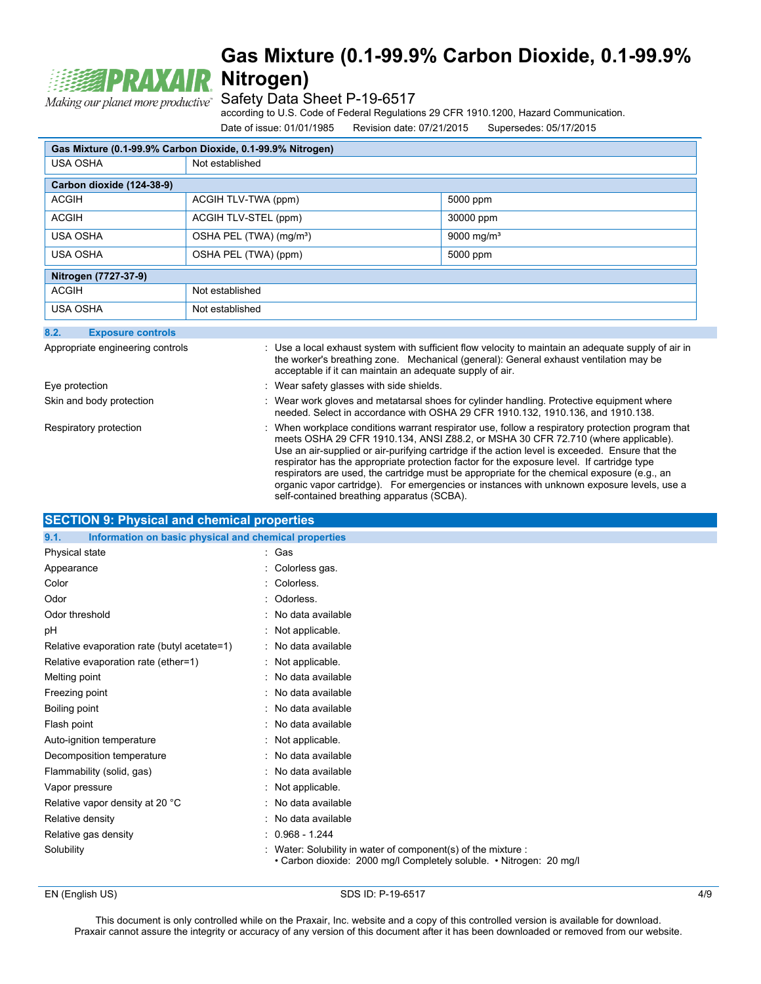

Safety Data Sheet P-19-6517

according to U.S. Code of Federal Regulations 29 CFR 1910.1200, Hazard Communication.

Date of issue: 01/01/1985 Revision date: 07/21/2015 Supersedes: 05/17/2015

| Gas Mixture (0.1-99.9% Carbon Dioxide, 0.1-99.9% Nitrogen) |                                     |                        |
|------------------------------------------------------------|-------------------------------------|------------------------|
| <b>USA OSHA</b>                                            | Not established                     |                        |
| Carbon dioxide (124-38-9)                                  |                                     |                        |
| <b>ACGIH</b>                                               | ACGIH TLV-TWA (ppm)                 | 5000 ppm               |
| <b>ACGIH</b>                                               | ACGIH TLV-STEL (ppm)                | 30000 ppm              |
| <b>USA OSHA</b>                                            | OSHA PEL (TWA) (mg/m <sup>3</sup> ) | 9000 mg/m <sup>3</sup> |
| <b>USA OSHA</b>                                            | OSHA PEL (TWA) (ppm)                | 5000 ppm               |
| Nitrogen (7727-37-9)                                       |                                     |                        |
| <b>ACGIH</b><br>Not established                            |                                     |                        |
| <b>USA OSHA</b><br>Not established                         |                                     |                        |
| 8.2.<br><b>Exposure controls</b>                           |                                     |                        |

| Appropriate engineering controls | : Use a local exhaust system with sufficient flow velocity to maintain an adequate supply of air in<br>the worker's breathing zone. Mechanical (general): General exhaust ventilation may be<br>acceptable if it can maintain an adequate supply of air.                                                                                                                                                                                                                                                                                                                          |
|----------------------------------|-----------------------------------------------------------------------------------------------------------------------------------------------------------------------------------------------------------------------------------------------------------------------------------------------------------------------------------------------------------------------------------------------------------------------------------------------------------------------------------------------------------------------------------------------------------------------------------|
| Eye protection                   | Wear safety glasses with side shields.                                                                                                                                                                                                                                                                                                                                                                                                                                                                                                                                            |
| Skin and body protection         | Wear work gloves and metatarsal shoes for cylinder handling. Protective equipment where<br>needed. Select in accordance with OSHA 29 CFR 1910.132, 1910.136, and 1910.138.                                                                                                                                                                                                                                                                                                                                                                                                        |
| Respiratory protection           | When workplace conditions warrant respirator use, follow a respiratory protection program that<br>meets OSHA 29 CFR 1910.134, ANSI Z88.2, or MSHA 30 CFR 72.710 (where applicable).<br>Use an air-supplied or air-purifying cartridge if the action level is exceeded. Ensure that the<br>respirator has the appropriate protection factor for the exposure level. If cartridge type<br>respirators are used, the cartridge must be appropriate for the chemical exposure (e.g., an<br>organic vapor cartridge). For emergencies or instances with unknown exposure levels, use a |

self-contained breathing apparatus (SCBA).

| SECTION 9: Physical and chemical properties |  |
|---------------------------------------------|--|
|                                             |  |

| Information on basic physical and chemical properties<br>9.1. |                                                                                                                                      |
|---------------------------------------------------------------|--------------------------------------------------------------------------------------------------------------------------------------|
| Physical state                                                | : Gas                                                                                                                                |
| Appearance                                                    | : Colorless gas.                                                                                                                     |
| Color                                                         | : Colorless.                                                                                                                         |
| Odor                                                          | : Odorless.                                                                                                                          |
| Odor threshold                                                | : No data available                                                                                                                  |
| pH                                                            | : Not applicable.                                                                                                                    |
| Relative evaporation rate (butyl acetate=1)                   | : No data available                                                                                                                  |
| Relative evaporation rate (ether=1)                           | : Not applicable.                                                                                                                    |
| Melting point                                                 | : No data available                                                                                                                  |
| Freezing point                                                | : No data available                                                                                                                  |
| Boiling point                                                 | : No data available                                                                                                                  |
| Flash point                                                   | : No data available                                                                                                                  |
| Auto-ignition temperature                                     | : Not applicable.                                                                                                                    |
| Decomposition temperature                                     | : No data available                                                                                                                  |
| Flammability (solid, gas)                                     | : No data available                                                                                                                  |
| Vapor pressure                                                | : Not applicable.                                                                                                                    |
| Relative vapor density at 20 °C                               | : No data available                                                                                                                  |
| Relative density                                              | : No data available                                                                                                                  |
| Relative gas density                                          | $: 0.968 - 1.244$                                                                                                                    |
| Solubility                                                    | : Water: Solubility in water of component(s) of the mixture :<br>• Carbon dioxide: 2000 mg/l Completely soluble. • Nitrogen: 20 mg/l |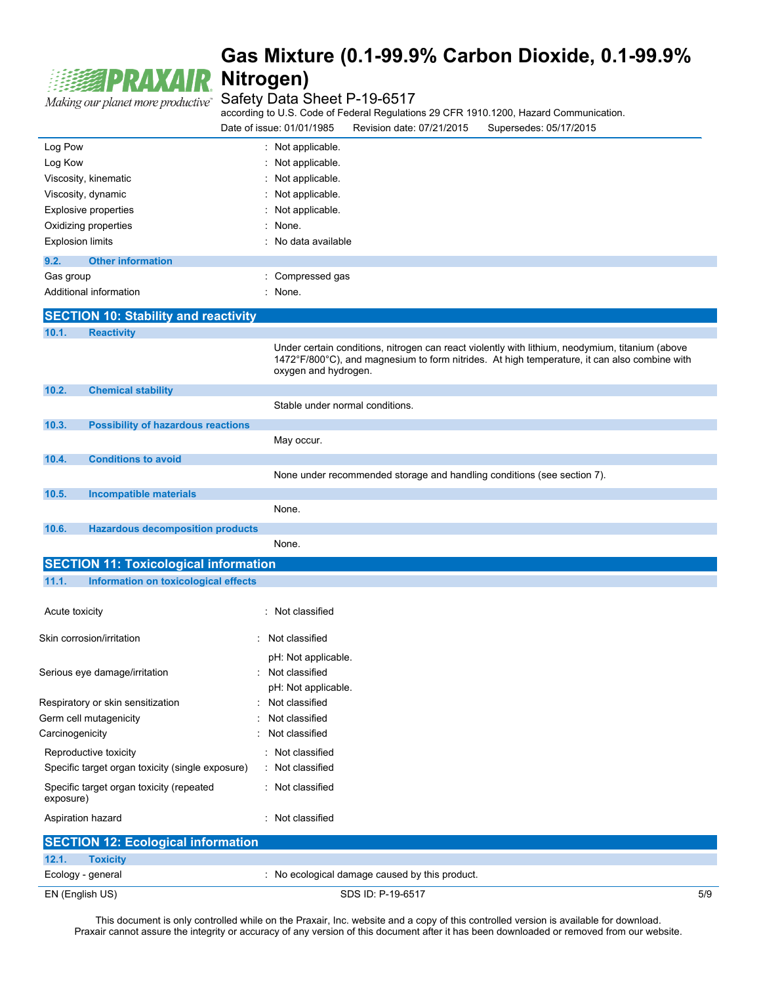

Making our planet more productive<sup>\*</sup> Safety Data Sheet P-19-6517

according to U.S. Code of Federal Regulations 29 CFR 1910.1200, Hazard Communication.

| Date of issue: 01/01/1985 | Revision date: 07/21/2015 | Supersedes: 05/17/2015 |
|---------------------------|---------------------------|------------------------|
|                           |                           |                        |

| Log Pow                                               | : Not applicable.                                                                                                                                                                                                       |  |  |
|-------------------------------------------------------|-------------------------------------------------------------------------------------------------------------------------------------------------------------------------------------------------------------------------|--|--|
| Log Kow                                               | Not applicable.                                                                                                                                                                                                         |  |  |
| Viscosity, kinematic                                  | Not applicable.                                                                                                                                                                                                         |  |  |
| Viscosity, dynamic                                    | Not applicable.                                                                                                                                                                                                         |  |  |
| <b>Explosive properties</b>                           | Not applicable.                                                                                                                                                                                                         |  |  |
| Oxidizing properties                                  | None.                                                                                                                                                                                                                   |  |  |
| <b>Explosion limits</b>                               | No data available                                                                                                                                                                                                       |  |  |
| 9.2.<br><b>Other information</b>                      |                                                                                                                                                                                                                         |  |  |
| Gas group                                             | : Compressed gas                                                                                                                                                                                                        |  |  |
| Additional information                                | : None.                                                                                                                                                                                                                 |  |  |
| <b>SECTION 10: Stability and reactivity</b>           |                                                                                                                                                                                                                         |  |  |
| 10.1.<br><b>Reactivity</b>                            |                                                                                                                                                                                                                         |  |  |
|                                                       | Under certain conditions, nitrogen can react violently with lithium, neodymium, titanium (above<br>1472°F/800°C), and magnesium to form nitrides. At high temperature, it can also combine with<br>oxygen and hydrogen. |  |  |
| 10.2.<br><b>Chemical stability</b>                    |                                                                                                                                                                                                                         |  |  |
|                                                       | Stable under normal conditions.                                                                                                                                                                                         |  |  |
| 10.3.<br><b>Possibility of hazardous reactions</b>    |                                                                                                                                                                                                                         |  |  |
|                                                       | May occur.                                                                                                                                                                                                              |  |  |
| <b>Conditions to avoid</b><br>10.4.                   |                                                                                                                                                                                                                         |  |  |
|                                                       | None under recommended storage and handling conditions (see section 7).                                                                                                                                                 |  |  |
| 10.5.<br><b>Incompatible materials</b>                |                                                                                                                                                                                                                         |  |  |
|                                                       |                                                                                                                                                                                                                         |  |  |
|                                                       | None.                                                                                                                                                                                                                   |  |  |
| 10.6.<br><b>Hazardous decomposition products</b>      |                                                                                                                                                                                                                         |  |  |
|                                                       | None.                                                                                                                                                                                                                   |  |  |
| <b>SECTION 11: Toxicological information</b>          |                                                                                                                                                                                                                         |  |  |
| 11.1.<br>Information on toxicological effects         |                                                                                                                                                                                                                         |  |  |
| Acute toxicity                                        | : Not classified                                                                                                                                                                                                        |  |  |
| Skin corrosion/irritation                             | Not classified                                                                                                                                                                                                          |  |  |
|                                                       | pH: Not applicable.                                                                                                                                                                                                     |  |  |
| Serious eye damage/irritation                         | : Not classified                                                                                                                                                                                                        |  |  |
|                                                       | pH: Not applicable.                                                                                                                                                                                                     |  |  |
| Respiratory or skin sensitization                     | Not classified                                                                                                                                                                                                          |  |  |
| Germ cell mutagenicity                                | Not classified                                                                                                                                                                                                          |  |  |
| Carcinogenicity                                       | Not classified                                                                                                                                                                                                          |  |  |
| Reproductive toxicity                                 | : Not classified                                                                                                                                                                                                        |  |  |
| Specific target organ toxicity (single exposure)      | : Not classified                                                                                                                                                                                                        |  |  |
| Specific target organ toxicity (repeated<br>exposure) | : Not classified                                                                                                                                                                                                        |  |  |
| Aspiration hazard                                     | : Not classified                                                                                                                                                                                                        |  |  |
| <b>SECTION 12: Ecological information</b>             |                                                                                                                                                                                                                         |  |  |
| 12.1.<br><b>Toxicity</b>                              |                                                                                                                                                                                                                         |  |  |
| Ecology - general                                     | : No ecological damage caused by this product.                                                                                                                                                                          |  |  |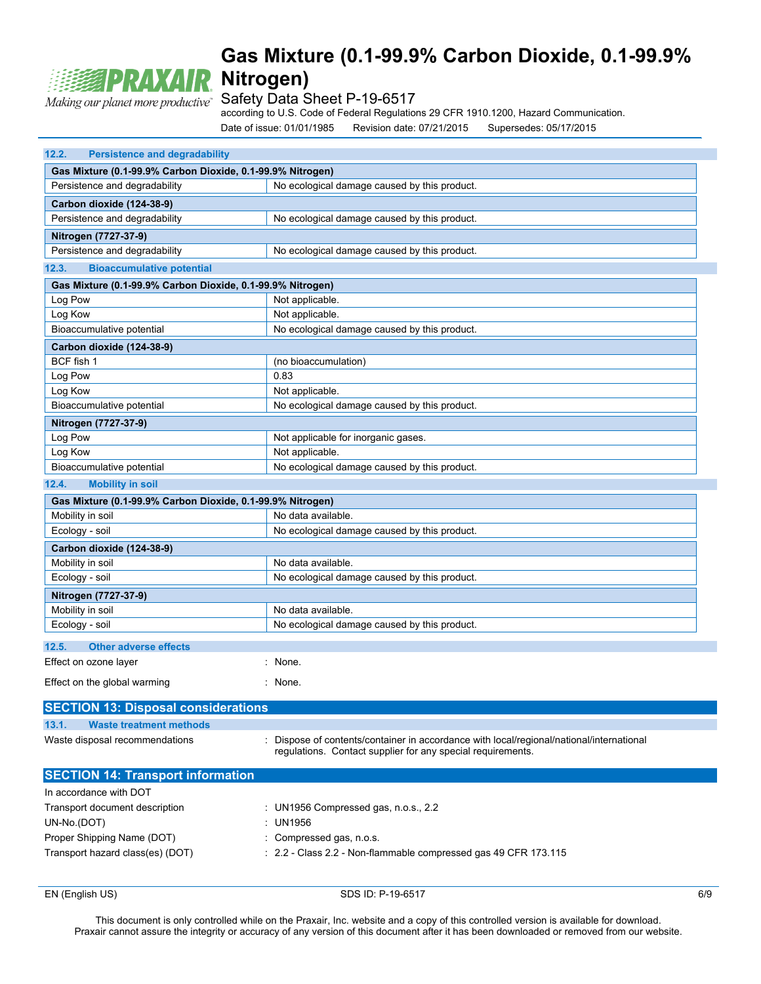

Safety Data Sheet P-19-6517

according to U.S. Code of Federal Regulations 29 CFR 1910.1200, Hazard Communication.

Date of issue: 01/01/1985 Revision date: 07/21/2015 Supersedes: 05/17/2015

| 12.2.<br><b>Persistence and degradability</b>              |                                                                                                                                                       |  |
|------------------------------------------------------------|-------------------------------------------------------------------------------------------------------------------------------------------------------|--|
| Gas Mixture (0.1-99.9% Carbon Dioxide, 0.1-99.9% Nitrogen) |                                                                                                                                                       |  |
| Persistence and degradability                              | No ecological damage caused by this product.                                                                                                          |  |
| Carbon dioxide (124-38-9)                                  |                                                                                                                                                       |  |
| Persistence and degradability                              | No ecological damage caused by this product.                                                                                                          |  |
| Nitrogen (7727-37-9)                                       |                                                                                                                                                       |  |
| Persistence and degradability                              | No ecological damage caused by this product.                                                                                                          |  |
| 12.3.<br><b>Bioaccumulative potential</b>                  |                                                                                                                                                       |  |
| Gas Mixture (0.1-99.9% Carbon Dioxide, 0.1-99.9% Nitrogen) |                                                                                                                                                       |  |
| Log Pow                                                    | Not applicable.                                                                                                                                       |  |
| Log Kow                                                    | Not applicable.                                                                                                                                       |  |
| Bioaccumulative potential                                  | No ecological damage caused by this product.                                                                                                          |  |
| Carbon dioxide (124-38-9)                                  |                                                                                                                                                       |  |
| BCF fish 1                                                 | (no bioaccumulation)                                                                                                                                  |  |
| Log Pow                                                    | 0.83                                                                                                                                                  |  |
| Log Kow                                                    | Not applicable.                                                                                                                                       |  |
| Bioaccumulative potential                                  | No ecological damage caused by this product.                                                                                                          |  |
| Nitrogen (7727-37-9)                                       |                                                                                                                                                       |  |
| Log Pow                                                    | Not applicable for inorganic gases.                                                                                                                   |  |
| Log Kow                                                    | Not applicable.                                                                                                                                       |  |
| Bioaccumulative potential                                  | No ecological damage caused by this product.                                                                                                          |  |
| 12.4.<br><b>Mobility in soil</b>                           |                                                                                                                                                       |  |
| Gas Mixture (0.1-99.9% Carbon Dioxide, 0.1-99.9% Nitrogen) |                                                                                                                                                       |  |
| Mobility in soil                                           | No data available.                                                                                                                                    |  |
| Ecology - soil                                             | No ecological damage caused by this product.                                                                                                          |  |
| Carbon dioxide (124-38-9)                                  |                                                                                                                                                       |  |
| Mobility in soil                                           | No data available.                                                                                                                                    |  |
| Ecology - soil                                             | No ecological damage caused by this product.                                                                                                          |  |
| Nitrogen (7727-37-9)                                       |                                                                                                                                                       |  |
| Mobility in soil                                           | No data available.                                                                                                                                    |  |
| Ecology - soil                                             | No ecological damage caused by this product.                                                                                                          |  |
|                                                            |                                                                                                                                                       |  |
| 12.5.<br><b>Other adverse effects</b>                      |                                                                                                                                                       |  |
| Effect on ozone layer                                      | : None.                                                                                                                                               |  |
| Effect on the global warming                               | : None.                                                                                                                                               |  |
| <b>SECTION 13: Disposal considerations</b>                 |                                                                                                                                                       |  |
|                                                            |                                                                                                                                                       |  |
| 13.1.<br><b>Waste treatment methods</b>                    |                                                                                                                                                       |  |
| Waste disposal recommendations                             | Dispose of contents/container in accordance with local/regional/national/international<br>regulations. Contact supplier for any special requirements. |  |
| <b>SECTION 14: Transport information</b>                   |                                                                                                                                                       |  |
| In accordance with DOT                                     |                                                                                                                                                       |  |
| Transport document description                             | : UN1956 Compressed gas, n.o.s., 2.2                                                                                                                  |  |
| UN-No.(DOT)                                                | : UN1956                                                                                                                                              |  |
| Proper Shipping Name (DOT)                                 | : Compressed gas, n.o.s.                                                                                                                              |  |
| Transport hazard class(es) (DOT)                           | : 2.2 - Class 2.2 - Non-flammable compressed gas 49 CFR 173.115                                                                                       |  |
|                                                            |                                                                                                                                                       |  |

EN (English US) 6/9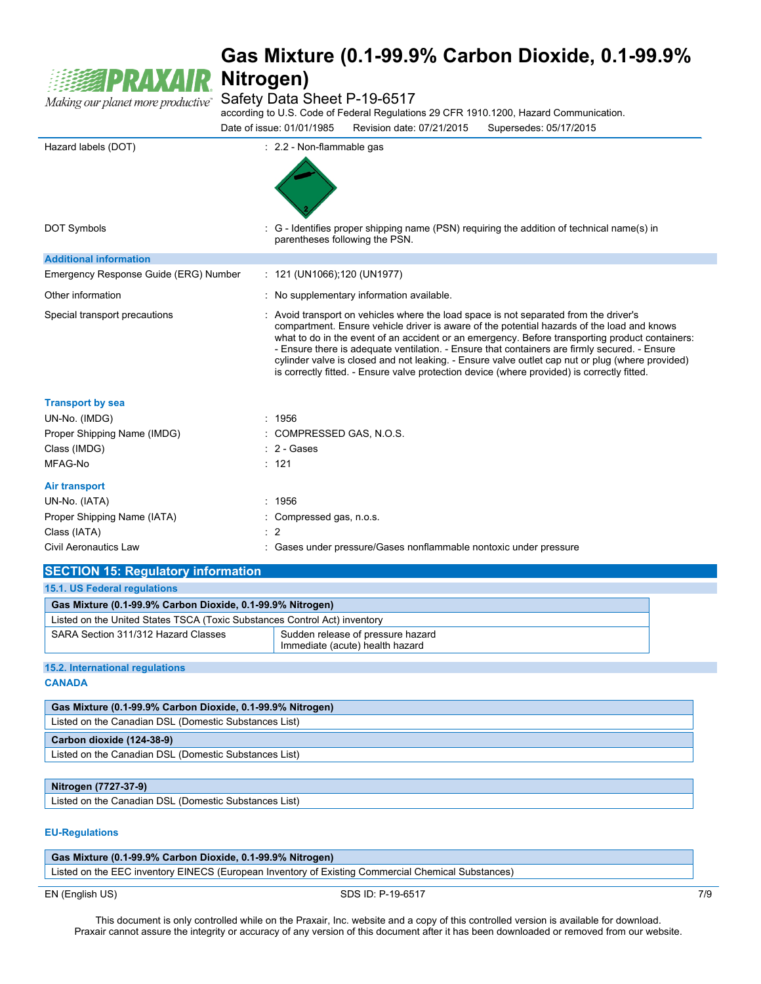

Safety Data Sheet P-19-6517

according to U.S. Code of Federal Regulations 29 CFR 1910.1200, Hazard Communication.

Date of issue: 01/01/1985 Revision date: 07/21/2015 Supersedes: 05/17/2015

| Hazard labels (DOT)                   | : 2.2 - Non-flammable gas                                                                                                                                                                                                                                                                                                                                                                                                                                                                                                                                                                  |
|---------------------------------------|--------------------------------------------------------------------------------------------------------------------------------------------------------------------------------------------------------------------------------------------------------------------------------------------------------------------------------------------------------------------------------------------------------------------------------------------------------------------------------------------------------------------------------------------------------------------------------------------|
|                                       |                                                                                                                                                                                                                                                                                                                                                                                                                                                                                                                                                                                            |
|                                       |                                                                                                                                                                                                                                                                                                                                                                                                                                                                                                                                                                                            |
| <b>DOT Symbols</b>                    | : G - Identifies proper shipping name (PSN) requiring the addition of technical name(s) in<br>parentheses following the PSN.                                                                                                                                                                                                                                                                                                                                                                                                                                                               |
| <b>Additional information</b>         |                                                                                                                                                                                                                                                                                                                                                                                                                                                                                                                                                                                            |
| Emergency Response Guide (ERG) Number | : $121$ (UN1066); 120 (UN1977)                                                                                                                                                                                                                                                                                                                                                                                                                                                                                                                                                             |
| Other information                     | : No supplementary information available.                                                                                                                                                                                                                                                                                                                                                                                                                                                                                                                                                  |
| Special transport precautions         | : Avoid transport on vehicles where the load space is not separated from the driver's<br>compartment. Ensure vehicle driver is aware of the potential hazards of the load and knows<br>what to do in the event of an accident or an emergency. Before transporting product containers:<br>- Ensure there is adequate ventilation. - Ensure that containers are firmly secured. - Ensure<br>cylinder valve is closed and not leaking. - Ensure valve outlet cap nut or plug (where provided)<br>is correctly fitted. - Ensure valve protection device (where provided) is correctly fitted. |
| <b>Transport by sea</b>               |                                                                                                                                                                                                                                                                                                                                                                                                                                                                                                                                                                                            |
| UN-No. (IMDG)                         | : 1956                                                                                                                                                                                                                                                                                                                                                                                                                                                                                                                                                                                     |
| Proper Shipping Name (IMDG)           | COMPRESSED GAS, N.O.S.                                                                                                                                                                                                                                                                                                                                                                                                                                                                                                                                                                     |
| Class (IMDG)                          | $: 2 - \text{Gases}$                                                                                                                                                                                                                                                                                                                                                                                                                                                                                                                                                                       |
| MFAG-No                               | : 121                                                                                                                                                                                                                                                                                                                                                                                                                                                                                                                                                                                      |
| <b>Air transport</b>                  |                                                                                                                                                                                                                                                                                                                                                                                                                                                                                                                                                                                            |
| UN-No. (IATA)                         | : 1956                                                                                                                                                                                                                                                                                                                                                                                                                                                                                                                                                                                     |
| Proper Shipping Name (IATA)           | : Compressed gas, n.o.s.                                                                                                                                                                                                                                                                                                                                                                                                                                                                                                                                                                   |
| Class (IATA)                          | $\therefore$ 2                                                                                                                                                                                                                                                                                                                                                                                                                                                                                                                                                                             |
| <b>Civil Aeronautics Law</b>          | : Gases under pressure/Gases nonflammable nontoxic under pressure                                                                                                                                                                                                                                                                                                                                                                                                                                                                                                                          |

| <b>SECTION 15: Regulatory information</b>                                 |                                                                      |  |
|---------------------------------------------------------------------------|----------------------------------------------------------------------|--|
| <b>15.1. US Federal regulations</b>                                       |                                                                      |  |
| Gas Mixture (0.1-99.9% Carbon Dioxide, 0.1-99.9% Nitrogen)                |                                                                      |  |
| Listed on the United States TSCA (Toxic Substances Control Act) inventory |                                                                      |  |
| SARA Section 311/312 Hazard Classes                                       | Sudden release of pressure hazard<br>Immediate (acute) health hazard |  |
|                                                                           |                                                                      |  |

**15.2. International regulations CANADA**

| Gas Mixture (0.1-99.9% Carbon Dioxide, 0.1-99.9% Nitrogen) |
|------------------------------------------------------------|
| Listed on the Canadian DSL (Domestic Substances List)      |
| Carbon dioxide (124-38-9)                                  |
| Listed on the Canadian DSL (Domestic Substances List)      |
|                                                            |

### **Nitrogen (7727-37-9)**

Listed on the Canadian DSL (Domestic Substances List)

#### **EU-Regulations**

| Gas Mixture (0.1-99.9% Carbon Dioxide, 0.1-99.9% Nitrogen)                                         |                   |     |
|----------------------------------------------------------------------------------------------------|-------------------|-----|
| Listed on the EEC inventory EINECS (European Inventory of Existing Commercial Chemical Substances) |                   |     |
| EN (English US)                                                                                    | SDS ID: P-19-6517 | 7/9 |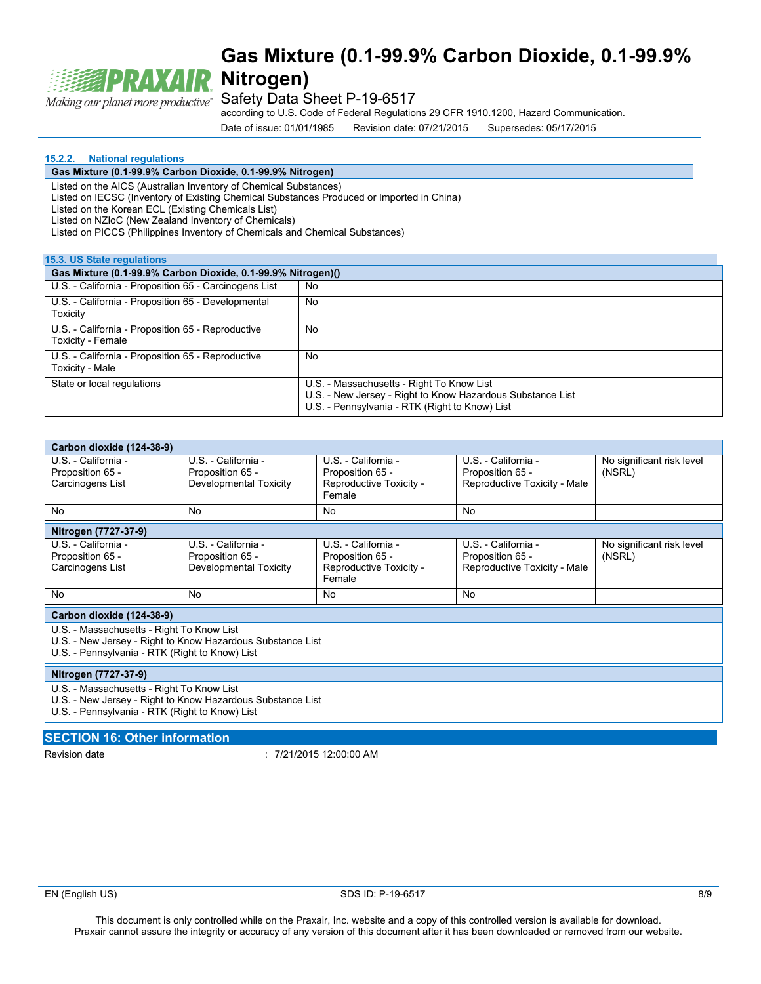

Safety Data Sheet P-19-6517

according to U.S. Code of Federal Regulations 29 CFR 1910.1200, Hazard Communication.

Date of issue: 01/01/1985 Revision date: 07/21/2015 Supersedes: 05/17/2015

#### **15.2.2. National regulations**

### **Gas Mixture (0.1-99.9% Carbon Dioxide, 0.1-99.9% Nitrogen)**

Listed on the AICS (Australian Inventory of Chemical Substances)

Listed on IECSC (Inventory of Existing Chemical Substances Produced or Imported in China)

Listed on the Korean ECL (Existing Chemicals List)

Listed on NZIoC (New Zealand Inventory of Chemicals)

Listed on PICCS (Philippines Inventory of Chemicals and Chemical Substances)

#### **15.3. US State regulations**

| Gas Mixture (0.1-99.9% Carbon Dioxide, 0.1-99.9% Nitrogen)()           |                                                                                                                                                           |  |  |
|------------------------------------------------------------------------|-----------------------------------------------------------------------------------------------------------------------------------------------------------|--|--|
| U.S. - California - Proposition 65 - Carcinogens List                  | No                                                                                                                                                        |  |  |
| U.S. - California - Proposition 65 - Developmental<br>Toxicity         | No                                                                                                                                                        |  |  |
| U.S. - California - Proposition 65 - Reproductive<br>Toxicity - Female | No                                                                                                                                                        |  |  |
| U.S. - California - Proposition 65 - Reproductive<br>Toxicity - Male   | No                                                                                                                                                        |  |  |
| State or local regulations                                             | U.S. - Massachusetts - Right To Know List<br>U.S. - New Jersey - Right to Know Hazardous Substance List<br>U.S. - Pennsylvania - RTK (Right to Know) List |  |  |

| Carbon dioxide (124-38-9)                 |                        |                                   |                              |                           |
|-------------------------------------------|------------------------|-----------------------------------|------------------------------|---------------------------|
| U.S. - California -                       | U.S. - California -    | U.S. - California -               | U.S. - California -          | No significant risk level |
| Proposition 65 -                          | Proposition 65 -       | Proposition 65 -                  | Proposition 65 -             | (NSRL)                    |
| Carcinogens List                          | Developmental Toxicity | Reproductive Toxicity -<br>Female | Reproductive Toxicity - Male |                           |
| No                                        | No                     | <b>No</b>                         | <b>No</b>                    |                           |
| Nitrogen (7727-37-9)                      |                        |                                   |                              |                           |
| U.S. - California -                       | U.S. - California -    | U.S. - California -               | U.S. - California -          | No significant risk level |
| Proposition 65 -                          | Proposition 65 -       | Proposition 65 -                  | Proposition 65 -             | (NSRL)                    |
| Carcinogens List                          | Developmental Toxicity | Reproductive Toxicity -<br>Female | Reproductive Toxicity - Male |                           |
| No                                        | No                     | No                                | <b>No</b>                    |                           |
| Carbon dioxide (124-38-9)                 |                        |                                   |                              |                           |
| U.S. - Massachusetts - Right To Know List |                        |                                   |                              |                           |

U.S. - New Jersey - Right to Know Hazardous Substance List U.S. - Pennsylvania - RTK (Right to Know) List

#### **Nitrogen (7727-37-9)**

U.S. - Massachusetts - Right To Know List

U.S. - New Jersey - Right to Know Hazardous Substance List

U.S. - Pennsylvania - RTK (Right to Know) List

#### **SECTION 16: Other information**

Revision date : 7/21/2015 12:00:00 AM